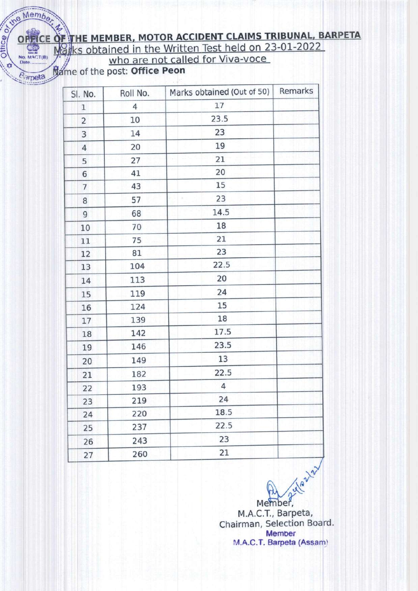## OF THE MEMBER, MOTOR ACCIDENT CLAIMS TRIBUNAL, BARPETA No. Member Marks obtained in the Written Test held on 23-01-2022

Name of the post: Office Peon

Barpeta

| SI. No.        | Roll No.       | Marks obtained (Out of 50) | Remarks |
|----------------|----------------|----------------------------|---------|
| $\mathbf 1$    | $\overline{4}$ | 17                         |         |
| $\overline{2}$ | 10             | 23.5                       |         |
| 3              | 14             | 23                         |         |
| $\overline{4}$ | 20             | 19                         |         |
| 5              | 27             | 21                         |         |
| 6              | 41             | 20                         |         |
| $\overline{7}$ | 43             | 15                         |         |
| 8              | 57             | 23                         |         |
| 9              | 68             | 14.5                       |         |
| 10             | 70             | 18                         |         |
| 11             | 75             | 21                         |         |
| 12             | 81             | 23                         |         |
| 13             | 104            | 22.5                       |         |
| 14             | 113            | 20                         |         |
| 15             | 119            | 24                         |         |
| 16             | 124            | 15                         |         |
| 17             | 139            | 18                         |         |
| 18             | 142            | 17.5                       |         |
| 19             | 146            | 23.5                       |         |
| 20             | 149            | 13                         |         |
| 21             | 182            | 22.5                       |         |
| 22             | 193            | 4                          |         |
| 23             | 219            | 24                         |         |
| 24             | 220            | 18.5                       |         |
| 25             | 237            | 22.5                       |         |
| 26             | 243            | 23                         |         |
| 27             | 260            | 21                         |         |

Member,<br>M.A.C.T., Barpeta,<br>Irman, Selectic Chairman, Selection Board. **Member** M.A.C.T. Barpeta (Assam)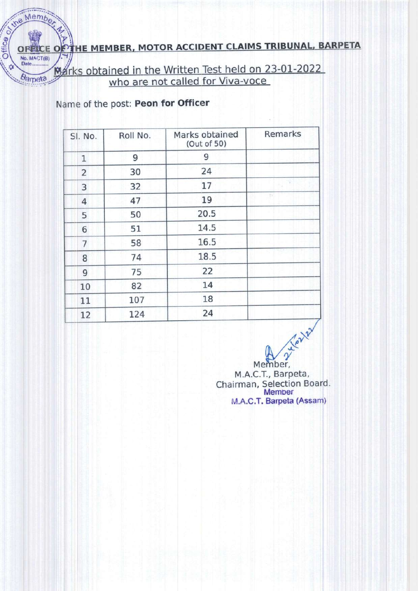### THE MEMBER, MOTOR ACCIDENT CLAIMS TRIBUNAL, BARPETA

Marks obtained in the Written Test held on 23-01-2022

Name of the post: Peon for Officer

the Member

**OFFICE O** No. MACT(B)

Barpeta

Office or

| SI. No.        | Roll No. | Marks obtained<br>(Out of 50) | Remarks |
|----------------|----------|-------------------------------|---------|
| $\mathbf{1}$   | 9        | 9                             |         |
| $\overline{2}$ | 30       | 24                            |         |
| 3              | 32       | 17                            |         |
| $\overline{4}$ | 47       | 19                            | E.      |
| 5              | 50       | 20.5                          |         |
| 6              | 51       | 14.5                          |         |
| $\overline{7}$ | 58       | 16.5                          |         |
| 8              | 74       | 18.5                          |         |
| 9              | 75       | 22                            |         |
| 10             | 82       | 14                            |         |
| 11             | 107      | 18                            |         |
| 12             | 124      | 24                            |         |

Member,

M.A.C.T., Barpeta Chairman, Selection Board. **Member** M.A.C.T. Barpeta (Assam)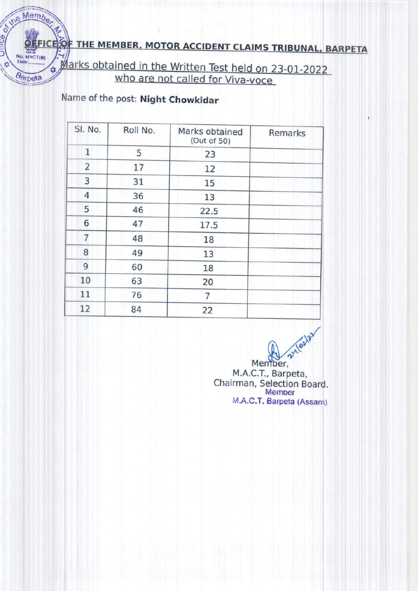# **OFFICE OF THE MEMBER, MOTOR ACCIDENT CLAIMS TRIBUNAL, BARPETA**

Marks obtained in the Written Test held on 23-01-2022

### Name of the post: Night Chowkidar

No. MACT(B)

Barpeta

| SI. No.        | Roll No. | Marks obtained<br>(Out of 50) | Remarks |
|----------------|----------|-------------------------------|---------|
| 1              | 5        | 23                            |         |
| $\overline{2}$ | 17       | 12                            |         |
| 3              | 31       | 15                            |         |
| $\overline{4}$ | 36       | 13                            |         |
| 5              | 46       | 22.5                          |         |
| 6              | 47       | 17.5                          |         |
| $\overline{7}$ | 48       | 18                            |         |
| 8              | 49       | 13                            |         |
| 9              | 60       | 18                            |         |
| 10             | 63       | 20                            |         |
| 11             | 76       | 7                             |         |
| 12             | 84       | 22                            |         |

Member,<br>M.A.C.T., Barpeta, Chairman, Selection Board. Memoer M.A.C.T. Barpeta (Assam)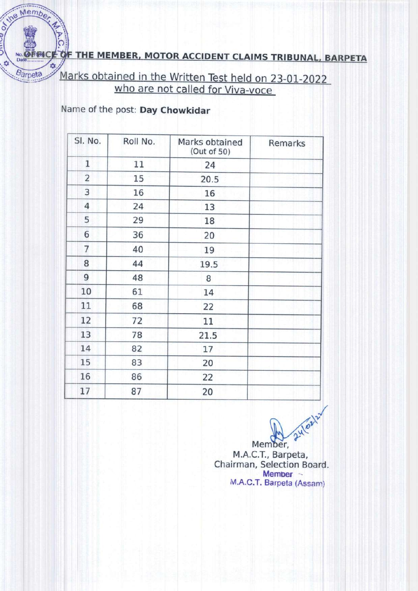NO. OF THE MEMBER, MOTOR ACCIDENT CLAIMS TRIBUNAL, BARPETA

Marks obtained in the Written Test held on 23-01-2022 who are not called for Viva-voce

Name of the post: Day Chowkidar

the Member

Barpeta

 $\frac{1}{2}$ 

| SI. No.        | Roll No. | Marks obtained<br>(Out of 50) | Remarks |  |
|----------------|----------|-------------------------------|---------|--|
| $\mathbf 1$    | 11       | 24                            |         |  |
| $\overline{2}$ | 15       | 20.5                          |         |  |
| 3              | 16       | 16                            |         |  |
| $\overline{4}$ | 24       | 13                            |         |  |
| 5              | 29       | 18                            |         |  |
| 6              | 36       | 20                            |         |  |
| $\overline{7}$ | 40       | 19                            |         |  |
| 8              | 44       | 19.5                          |         |  |
| 9              | 48       | 8                             |         |  |
| 10             | 61       | 14                            |         |  |
| 11             | 68       | 22                            |         |  |
| 12             | 72       | 11                            |         |  |
| 13             | 78       | 21.5                          |         |  |
| 14             | 82       | 17                            |         |  |
| 15             | 83       | 20                            |         |  |
| 16             | 86       | 22                            |         |  |
| 17             | 87       | 20                            |         |  |

24/oz12 Member, M.A.C.T., Barpeta, Chairman, Selection Board. Member -M.A.C.T. Barpeta (Assam)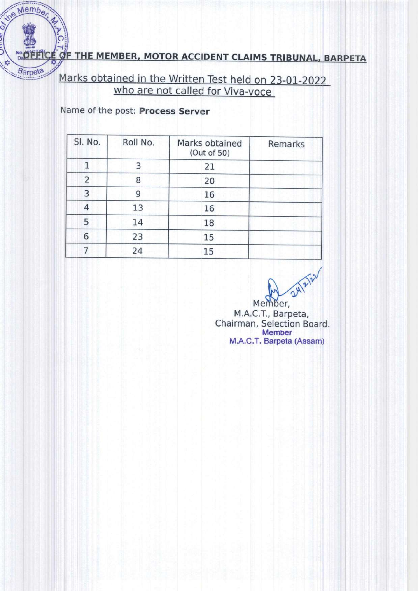### OF THE MEMBER, MOTOR ACCIDENT CLAIMS TRIBUNAL, BARPETA

Marks obtained in the written Test held on 23-01-2022 who are not called for Viva-voce

Name of the post: Process Server

the Member

Barpeta

| SI. No.        | Roll No. | Marks obtained<br>(Out of 50) | Remarks |
|----------------|----------|-------------------------------|---------|
|                | 3        | 21                            |         |
| $\overline{2}$ | 8        | 20                            |         |
| 3              | 9        | 16                            |         |
| 4              | 13       | 16                            |         |
| 5              | 14       | 18                            |         |
| 6              | 23       | 15                            |         |
|                | 24       | 15                            |         |

24/2/21

Member, M.A.C.T., Barpeta, Chairman, Selection Board. Member M.A.C.T. Barpeta (Assam)